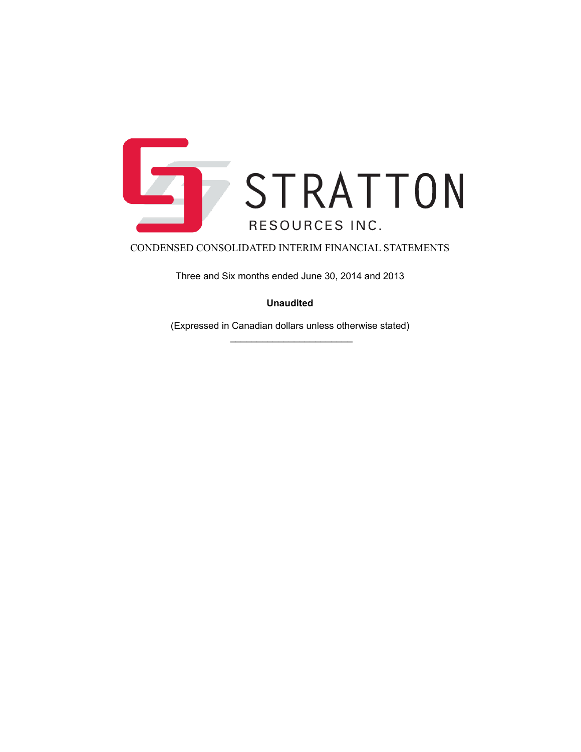

Three and Six months ended June 30, 2014 and 2013

**Unaudited**

(Expressed in Canadian dollars unless otherwise stated)  $\frac{1}{2}$  ,  $\frac{1}{2}$  ,  $\frac{1}{2}$  ,  $\frac{1}{2}$  ,  $\frac{1}{2}$  ,  $\frac{1}{2}$  ,  $\frac{1}{2}$  ,  $\frac{1}{2}$  ,  $\frac{1}{2}$  ,  $\frac{1}{2}$  ,  $\frac{1}{2}$  ,  $\frac{1}{2}$  ,  $\frac{1}{2}$  ,  $\frac{1}{2}$  ,  $\frac{1}{2}$  ,  $\frac{1}{2}$  ,  $\frac{1}{2}$  ,  $\frac{1}{2}$  ,  $\frac{1$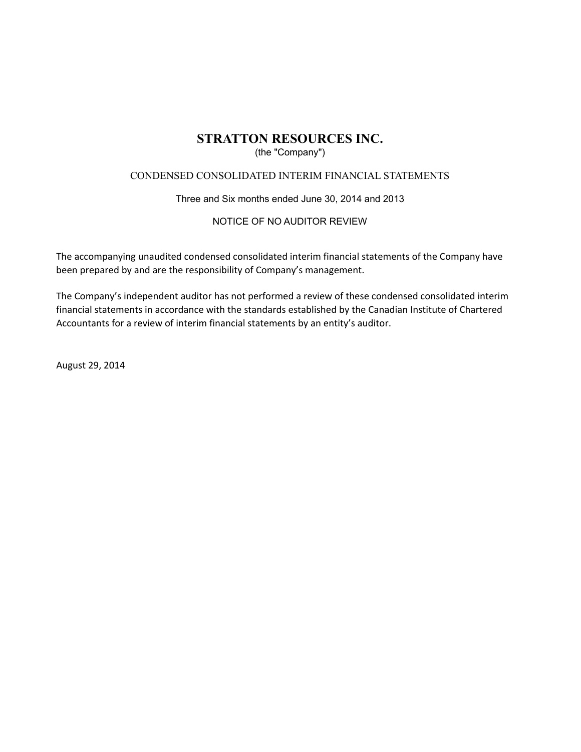## (the "Company")

## CONDENSED CONSOLIDATED INTERIM FINANCIAL STATEMENTS

Three and Six months ended June 30, 2014 and 2013

## NOTICE OF NO AUDITOR REVIEW

The accompanying unaudited condensed consolidated interim financial statements of the Company have been prepared by and are the responsibility of Company's management.

The Company's independent auditor has not performed a review of these condensed consolidated interim financial statements in accordance with the standards established by the Canadian Institute of Chartered Accountants for a review of interim financial statements by an entity's auditor.

August 29, 2014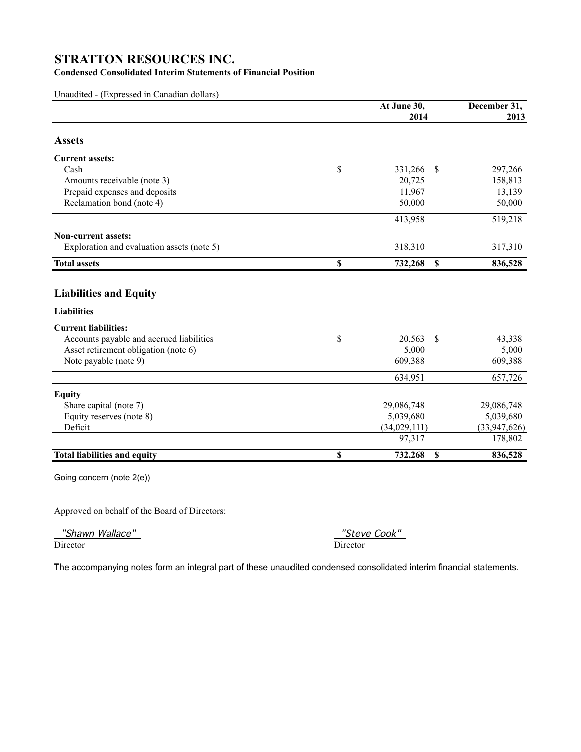## **Condensed Consolidated Interim Statements of Financial Position**

Unaudited - (Expressed in Canadian dollars)

|                                            | At June 30,                    | December 31, |
|--------------------------------------------|--------------------------------|--------------|
|                                            | 2014                           | 2013         |
| <b>Assets</b>                              |                                |              |
| <b>Current assets:</b>                     |                                |              |
| Cash                                       | \$<br>331,266<br>$\mathcal{S}$ | 297,266      |
| Amounts receivable (note 3)                | 20,725                         | 158,813      |
| Prepaid expenses and deposits              | 11,967                         | 13,139       |
| Reclamation bond (note 4)                  | 50,000                         | 50,000       |
|                                            | 413,958                        | 519,218      |
| <b>Non-current assets:</b>                 |                                |              |
| Exploration and evaluation assets (note 5) | 318,310                        | 317,310      |
| <b>Total assets</b>                        | \$<br>732,268<br><sup>\$</sup> | 836,528      |
| <b>Liabilities and Equity</b>              |                                |              |
| <b>Liabilities</b>                         |                                |              |
| <b>Current liabilities:</b>                |                                |              |
| Accounts payable and accrued liabilities   | \$<br>20,563<br>\$             | 43,338       |
| Asset retirement obligation (note 6)       | 5,000                          | 5,000        |
| Note payable (note 9)                      | 609,388                        | 609,388      |
|                                            | 634,951                        | 657,726      |
| <b>Equity</b>                              |                                |              |
| Share capital (note 7)                     | 29,086,748                     | 29,086,748   |
| Equity reserves (note 8)                   | 5,039,680                      | 5,039,680    |
| Deficit                                    | (34,029,111)                   | (33,947,626) |
|                                            | 97,317                         | 178,802      |
| <b>Total liabilities and equity</b>        | \$<br>732,268<br>\$            | 836,528      |
| Going concern (note 2(e))                  |                                |              |

Approved on behalf of the Board of Directors:

"Shawn Wallace" "Steve Cook"

Director Director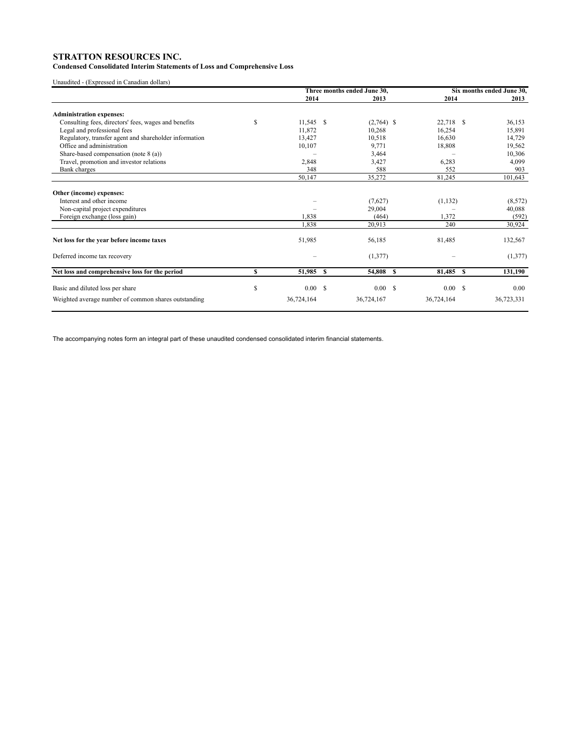### **Condensed Consolidated Interim Statements of Loss and Comprehensive Loss**

Unaudited - (Expressed in Canadian dollars)

|                                                        |    | Three months ended June 30, |  |              | Six months ended June 30, |            |  |            |
|--------------------------------------------------------|----|-----------------------------|--|--------------|---------------------------|------------|--|------------|
|                                                        |    | 2014                        |  | 2013         |                           | 2014       |  | 2013       |
| <b>Administration expenses:</b>                        |    |                             |  |              |                           |            |  |            |
| Consulting fees, directors' fees, wages and benefits   | \$ | $11,545$ \$                 |  | $(2,764)$ \$ |                           | 22,718 \$  |  | 36,153     |
| Legal and professional fees                            |    | 11,872                      |  | 10,268       |                           | 16,254     |  | 15,891     |
| Regulatory, transfer agent and shareholder information |    | 13,427                      |  | 10,518       |                           | 16.630     |  | 14,729     |
| Office and administration                              |    | 10,107                      |  | 9,771        |                           | 18,808     |  | 19,562     |
| Share-based compensation (note $8$ (a))                |    |                             |  | 3,464        |                           |            |  | 10,306     |
| Travel, promotion and investor relations               |    | 2,848                       |  | 3,427        |                           | 6,283      |  | 4,099      |
| Bank charges                                           |    | 348                         |  | 588          |                           | 552        |  | 903        |
|                                                        |    | 50,147                      |  | 35,272       |                           | 81,245     |  | 101,643    |
| Other (income) expenses:                               |    |                             |  |              |                           |            |  |            |
| Interest and other income                              |    |                             |  | (7,627)      |                           | (1, 132)   |  | (8, 572)   |
| Non-capital project expenditures                       |    |                             |  | 29,004       |                           |            |  | 40,088     |
| Foreign exchange (loss gain)                           |    | 1,838                       |  | (464)        |                           | 1,372      |  | (592)      |
|                                                        |    | 1,838                       |  | 20,913       |                           | 240        |  | 30,924     |
| Net loss for the year before income taxes              |    | 51,985                      |  | 56,185       |                           | 81,485     |  | 132,567    |
| Deferred income tax recovery                           |    |                             |  | (1,377)      |                           |            |  | (1,377)    |
| Net loss and comprehensive loss for the period         | \$ | 51,985 \$                   |  | 54,808 \$    |                           | 81,485 \$  |  | 131,190    |
| Basic and diluted loss per share                       | S  | 0.00 S                      |  | 0.00 S       |                           | 0.00 S     |  | 0.00       |
|                                                        |    |                             |  |              |                           |            |  |            |
| Weighted average number of common shares outstanding   |    | 36,724,164                  |  | 36,724,167   |                           | 36,724,164 |  | 36,723,331 |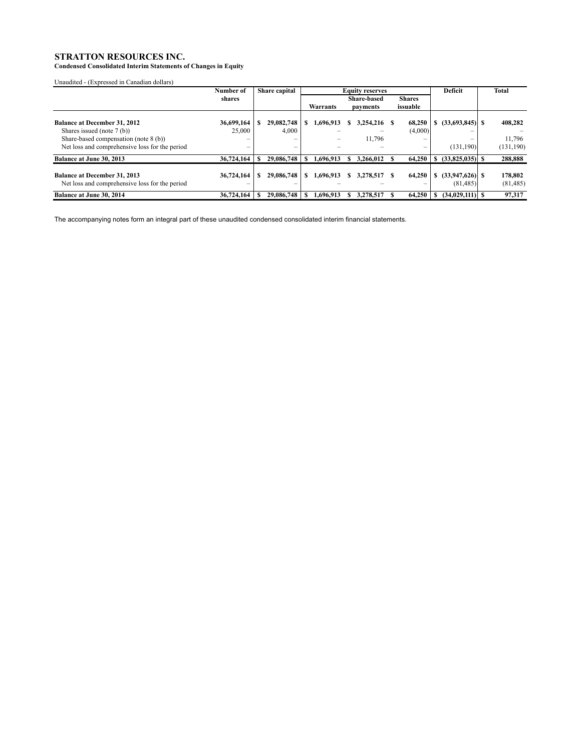**Condensed Consolidated Interim Statements of Changes in Equity**

Unaudited - (Expressed in Canadian dollars)

|                                                                                       | Number of  | Share capital            | <b>Equity reserves</b> |           |   |                    |               | Deficit | Total                          |                      |
|---------------------------------------------------------------------------------------|------------|--------------------------|------------------------|-----------|---|--------------------|---------------|---------|--------------------------------|----------------------|
|                                                                                       | shares     |                          |                        |           |   | <b>Share-based</b> | <b>Shares</b> |         |                                |                      |
|                                                                                       |            |                          |                        | Warrants  |   | payments           | issuable      |         |                                |                      |
| <b>Balance at December 31, 2012</b>                                                   | 36,699,164 | 29,082,748               |                        | 1,696,913 |   | 3,254,216          | 68,250        |         | $(33,693,845)$ S               | 408,282              |
| Shares issued (note 7 (b))                                                            | 25,000     | 4,000                    |                        |           |   |                    | (4,000)       |         |                                |                      |
| Share-based compensation (note 8 (b))                                                 |            | $\overline{\phantom{0}}$ |                        |           |   | 11,796             | -             |         |                                | 11.796               |
| Net loss and comprehensive loss for the period                                        | –          | $\qquad \qquad$          |                        |           |   |                    | -             |         | (131, 190)                     | (131, 190)           |
| <b>Balance at June 30, 2013</b>                                                       | 36,724,164 | 29,086,748               |                        | 1.696.913 |   | 3,266,012          | 64,250        |         | $(33,825,035)$ S               | 288,888              |
| <b>Balance at December 31, 2013</b><br>Net loss and comprehensive loss for the period | 36,724,164 | 29,086,748               |                        | 1.696.913 | S | 3.278.517          | 64.250        | S.      | $(33,947,626)$ \$<br>(81, 485) | 178,802<br>(81, 485) |
| <b>Balance at June 30, 2014</b>                                                       | 36,724,164 | 29,086,748               |                        | 1.696.913 |   | 3.278.517          | 64,250        |         | $(34,029,111)$ S               | 97.317               |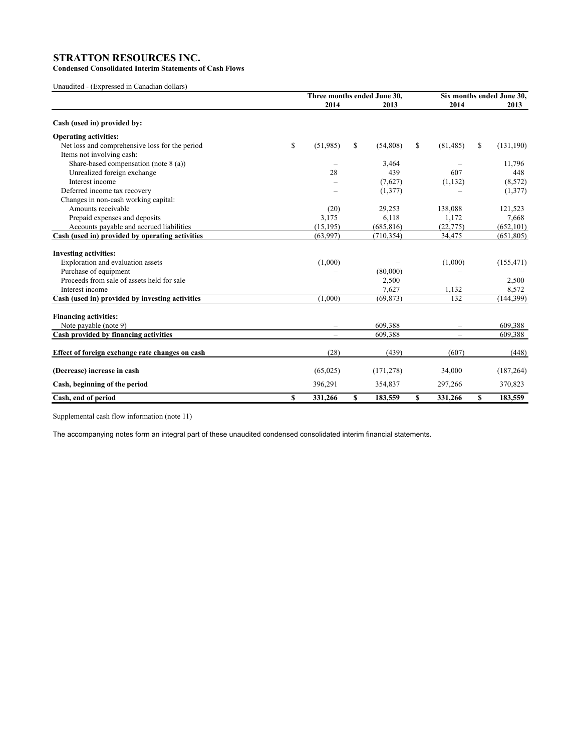**Condensed Consolidated Interim Statements of Cash Flows**

Unaudited - (Expressed in Canadian dollars)

|                                                      | Three months ended June 30, |    |            |              | Six months ended June 30, |              |            |  |
|------------------------------------------------------|-----------------------------|----|------------|--------------|---------------------------|--------------|------------|--|
|                                                      | 2014                        |    | 2013       |              | 2014                      |              | 2013       |  |
| Cash (used in) provided by:                          |                             |    |            |              |                           |              |            |  |
| <b>Operating activities:</b>                         |                             |    |            |              |                           |              |            |  |
| \$<br>Net loss and comprehensive loss for the period | (51,985)                    | \$ | (54,808)   | \$           | (81, 485)                 | \$           | (131, 190) |  |
| Items not involving cash:                            |                             |    |            |              |                           |              |            |  |
| Share-based compensation (note $8$ (a))              |                             |    | 3,464      |              |                           |              | 11,796     |  |
| Unrealized foreign exchange                          | 28                          |    | 439        |              | 607                       |              | 448        |  |
| Interest income                                      |                             |    | (7,627)    |              | (1, 132)                  |              | (8,572)    |  |
| Deferred income tax recovery                         |                             |    | (1,377)    |              |                           |              | (1,377)    |  |
| Changes in non-cash working capital:                 |                             |    |            |              |                           |              |            |  |
| Amounts receivable                                   | (20)                        |    | 29,253     |              | 138,088                   |              | 121,523    |  |
| Prepaid expenses and deposits                        | 3,175                       |    | 6,118      |              | 1,172                     |              | 7,668      |  |
| Accounts payable and accrued liabilities             | (15, 195)                   |    | (685, 816) |              | (22, 775)                 |              | (652, 101) |  |
| Cash (used in) provided by operating activities      | (63,997)                    |    | (710, 354) |              | 34,475                    |              | (651,805)  |  |
| <b>Investing activities:</b>                         |                             |    |            |              |                           |              |            |  |
| Exploration and evaluation assets                    | (1,000)                     |    |            |              | (1,000)                   |              | (155, 471) |  |
| Purchase of equipment                                |                             |    | (80,000)   |              |                           |              |            |  |
| Proceeds from sale of assets held for sale           |                             |    | 2,500      |              |                           |              | 2,500      |  |
| Interest income                                      |                             |    | 7,627      |              | 1.132                     |              | 8,572      |  |
| Cash (used in) provided by investing activities      | (1.000)                     |    | (69, 873)  |              | 132                       |              | (144, 399) |  |
| <b>Financing activities:</b>                         |                             |    |            |              |                           |              |            |  |
| Note payable (note 9)                                | $\overline{\phantom{m}}$    |    | 609,388    |              | -                         |              | 609,388    |  |
| Cash provided by financing activities                | $\overline{\phantom{0}}$    |    | 609,388    |              | $\overline{\phantom{0}}$  |              | 609,388    |  |
| Effect of foreign exchange rate changes on cash      | (28)                        |    | (439)      |              | (607)                     |              | (448)      |  |
| (Decrease) increase in cash                          | (65, 025)                   |    | (171, 278) |              | 34,000                    |              | (187, 264) |  |
| Cash, beginning of the period                        | 396,291                     |    | 354,837    |              | 297,266                   |              | 370,823    |  |
| $\mathbf S$<br>Cash, end of period                   | 331,266                     | S  | 183,559    | $\mathbf{s}$ | 331,266                   | $\mathbf{s}$ | 183,559    |  |

Supplemental cash flow information (note 11)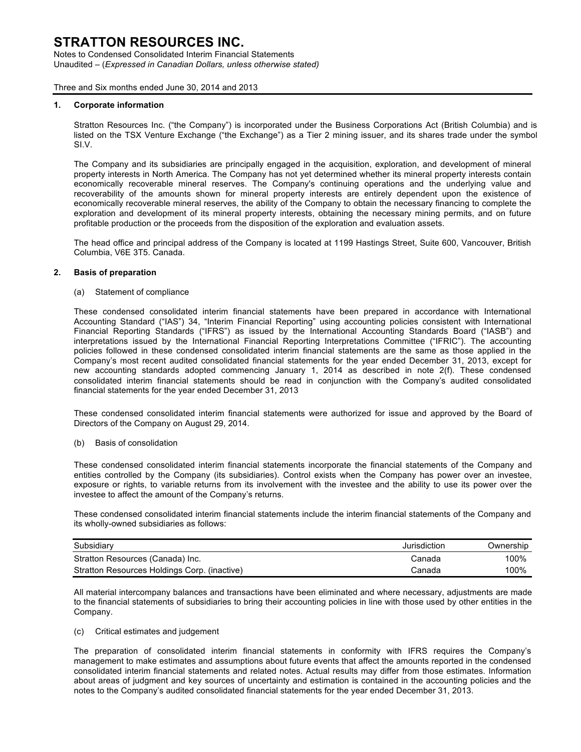Notes to Condensed Consolidated Interim Financial Statements Unaudited – (*Expressed in Canadian Dollars, unless otherwise stated)*

Three and Six months ended June 30, 2014 and 2013

#### **1. Corporate information**

Stratton Resources Inc. ("the Company") is incorporated under the Business Corporations Act (British Columbia) and is listed on the TSX Venture Exchange ("the Exchange") as a Tier 2 mining issuer, and its shares trade under the symbol SI.V.

The Company and its subsidiaries are principally engaged in the acquisition, exploration, and development of mineral property interests in North America. The Company has not yet determined whether its mineral property interests contain economically recoverable mineral reserves. The Company's continuing operations and the underlying value and recoverability of the amounts shown for mineral property interests are entirely dependent upon the existence of economically recoverable mineral reserves, the ability of the Company to obtain the necessary financing to complete the exploration and development of its mineral property interests, obtaining the necessary mining permits, and on future profitable production or the proceeds from the disposition of the exploration and evaluation assets.

The head office and principal address of the Company is located at 1199 Hastings Street, Suite 600, Vancouver, British Columbia, V6E 3T5. Canada.

#### **2. Basis of preparation**

(a) Statement of compliance

These condensed consolidated interim financial statements have been prepared in accordance with International Accounting Standard ("IAS") 34, "Interim Financial Reporting" using accounting policies consistent with International Financial Reporting Standards ("IFRS") as issued by the International Accounting Standards Board ("IASB") and interpretations issued by the International Financial Reporting Interpretations Committee ("IFRIC"). The accounting policies followed in these condensed consolidated interim financial statements are the same as those applied in the Company's most recent audited consolidated financial statements for the year ended December 31, 2013, except for new accounting standards adopted commencing January 1, 2014 as described in note 2(f). These condensed consolidated interim financial statements should be read in conjunction with the Company's audited consolidated financial statements for the year ended December 31, 2013

These condensed consolidated interim financial statements were authorized for issue and approved by the Board of Directors of the Company on August 29, 2014.

#### (b) Basis of consolidation

These condensed consolidated interim financial statements incorporate the financial statements of the Company and entities controlled by the Company (its subsidiaries). Control exists when the Company has power over an investee, exposure or rights, to variable returns from its involvement with the investee and the ability to use its power over the investee to affect the amount of the Company's returns.

These condensed consolidated interim financial statements include the interim financial statements of the Company and its wholly-owned subsidiaries as follows:

| Subsidiary                                   | Jurisdiction | Ownership |
|----------------------------------------------|--------------|-----------|
| Stratton Resources (Canada) Inc.             | Canada       | 100%      |
| Stratton Resources Holdings Corp. (inactive) | Canada       | 100%      |

All material intercompany balances and transactions have been eliminated and where necessary, adjustments are made to the financial statements of subsidiaries to bring their accounting policies in line with those used by other entities in the Company.

### (c) Critical estimates and judgement

The preparation of consolidated interim financial statements in conformity with IFRS requires the Company's management to make estimates and assumptions about future events that affect the amounts reported in the condensed consolidated interim financial statements and related notes. Actual results may differ from those estimates. Information about areas of judgment and key sources of uncertainty and estimation is contained in the accounting policies and the notes to the Company's audited consolidated financial statements for the year ended December 31, 2013.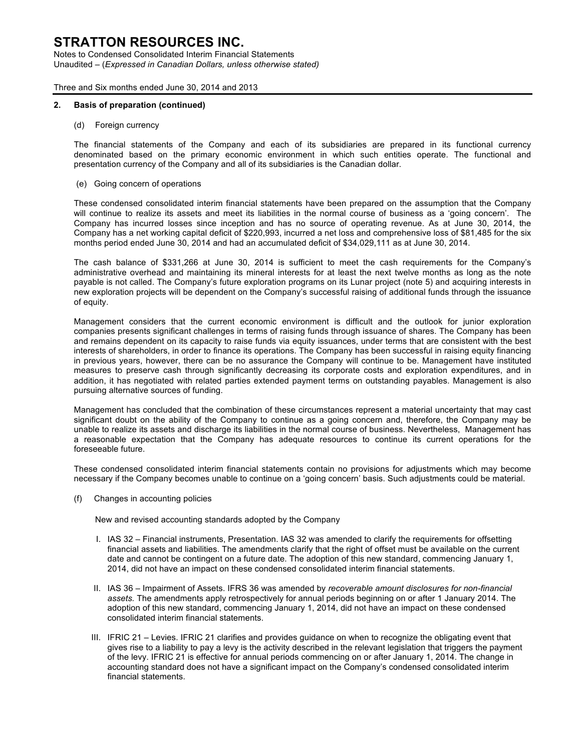Notes to Condensed Consolidated Interim Financial Statements Unaudited – (*Expressed in Canadian Dollars, unless otherwise stated)*

Three and Six months ended June 30, 2014 and 2013

#### **2. Basis of preparation (continued)**

(d) Foreign currency

The financial statements of the Company and each of its subsidiaries are prepared in its functional currency denominated based on the primary economic environment in which such entities operate. The functional and presentation currency of the Company and all of its subsidiaries is the Canadian dollar.

(e) Going concern of operations

These condensed consolidated interim financial statements have been prepared on the assumption that the Company will continue to realize its assets and meet its liabilities in the normal course of business as a 'going concern'. The Company has incurred losses since inception and has no source of operating revenue. As at June 30, 2014, the Company has a net working capital deficit of \$220,993, incurred a net loss and comprehensive loss of \$81,485 for the six months period ended June 30, 2014 and had an accumulated deficit of \$34,029,111 as at June 30, 2014.

The cash balance of \$331,266 at June 30, 2014 is sufficient to meet the cash requirements for the Company's administrative overhead and maintaining its mineral interests for at least the next twelve months as long as the note payable is not called. The Company's future exploration programs on its Lunar project (note 5) and acquiring interests in new exploration projects will be dependent on the Company's successful raising of additional funds through the issuance of equity.

Management considers that the current economic environment is difficult and the outlook for junior exploration companies presents significant challenges in terms of raising funds through issuance of shares. The Company has been and remains dependent on its capacity to raise funds via equity issuances, under terms that are consistent with the best interests of shareholders, in order to finance its operations. The Company has been successful in raising equity financing in previous years, however, there can be no assurance the Company will continue to be. Management have instituted measures to preserve cash through significantly decreasing its corporate costs and exploration expenditures, and in addition, it has negotiated with related parties extended payment terms on outstanding payables. Management is also pursuing alternative sources of funding.

Management has concluded that the combination of these circumstances represent a material uncertainty that may cast significant doubt on the ability of the Company to continue as a going concern and, therefore, the Company may be unable to realize its assets and discharge its liabilities in the normal course of business. Nevertheless, Management has a reasonable expectation that the Company has adequate resources to continue its current operations for the foreseeable future.

These condensed consolidated interim financial statements contain no provisions for adjustments which may become necessary if the Company becomes unable to continue on a 'going concern' basis. Such adjustments could be material.

(f) Changes in accounting policies

New and revised accounting standards adopted by the Company

- I. IAS 32 Financial instruments, Presentation. IAS 32 was amended to clarify the requirements for offsetting financial assets and liabilities. The amendments clarify that the right of offset must be available on the current date and cannot be contingent on a future date. The adoption of this new standard, commencing January 1, 2014, did not have an impact on these condensed consolidated interim financial statements.
- II. IAS 36 Impairment of Assets. IFRS 36 was amended by *recoverable amount disclosures for non-financial assets.* The amendments apply retrospectively for annual periods beginning on or after 1 January 2014. The adoption of this new standard, commencing January 1, 2014, did not have an impact on these condensed consolidated interim financial statements.
- III. IFRIC 21 Levies. IFRIC 21 clarifies and provides guidance on when to recognize the obligating event that gives rise to a liability to pay a levy is the activity described in the relevant legislation that triggers the payment of the levy. IFRIC 21 is effective for annual periods commencing on or after January 1, 2014. The change in accounting standard does not have a significant impact on the Company's condensed consolidated interim financial statements.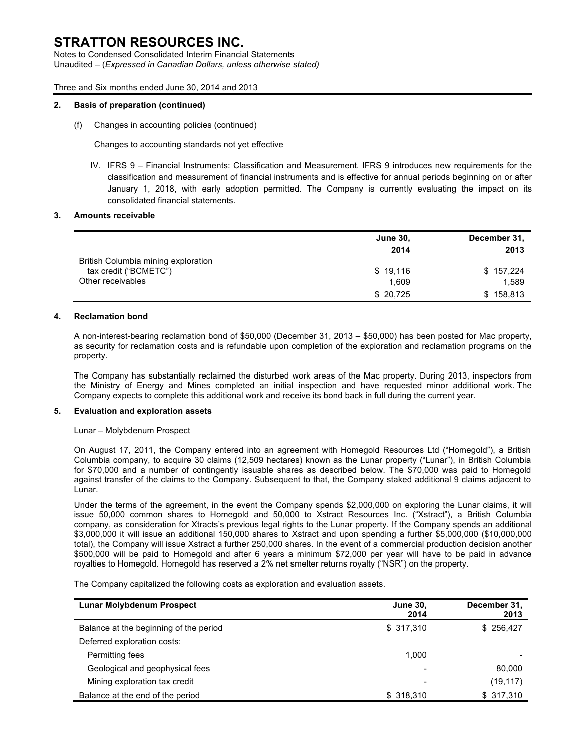Notes to Condensed Consolidated Interim Financial Statements Unaudited – (*Expressed in Canadian Dollars, unless otherwise stated)*

Three and Six months ended June 30, 2014 and 2013

#### **2. Basis of preparation (continued)**

(f) Changes in accounting policies (continued)

Changes to accounting standards not yet effective

IV. IFRS 9 – Financial Instruments: Classification and Measurement. IFRS 9 introduces new requirements for the classification and measurement of financial instruments and is effective for annual periods beginning on or after January 1, 2018, with early adoption permitted. The Company is currently evaluating the impact on its consolidated financial statements.

#### **3. Amounts receivable**

|                                     | <b>June 30,</b> | December 31, |
|-------------------------------------|-----------------|--------------|
|                                     | 2014            | 2013         |
| British Columbia mining exploration |                 |              |
| tax credit ("BCMETC")               | \$19,116        | \$157,224    |
| Other receivables                   | 1.609           | 1,589        |
|                                     | \$20,725        | \$158,813    |

#### **4. Reclamation bond**

A non-interest-bearing reclamation bond of \$50,000 (December 31, 2013 – \$50,000) has been posted for Mac property, as security for reclamation costs and is refundable upon completion of the exploration and reclamation programs on the property.

The Company has substantially reclaimed the disturbed work areas of the Mac property. During 2013, inspectors from the Ministry of Energy and Mines completed an initial inspection and have requested minor additional work. The Company expects to complete this additional work and receive its bond back in full during the current year.

#### **5. Evaluation and exploration assets**

#### Lunar – Molybdenum Prospect

On August 17, 2011, the Company entered into an agreement with Homegold Resources Ltd ("Homegold"), a British Columbia company, to acquire 30 claims (12,509 hectares) known as the Lunar property ("Lunar"), in British Columbia for \$70,000 and a number of contingently issuable shares as described below. The \$70,000 was paid to Homegold against transfer of the claims to the Company. Subsequent to that, the Company staked additional 9 claims adjacent to Lunar.

Under the terms of the agreement, in the event the Company spends \$2,000,000 on exploring the Lunar claims, it will issue 50,000 common shares to Homegold and 50,000 to Xstract Resources Inc. ("Xstract"), a British Columbia company, as consideration for Xtracts's previous legal rights to the Lunar property. If the Company spends an additional \$3,000,000 it will issue an additional 150,000 shares to Xstract and upon spending a further \$5,000,000 (\$10,000,000 total), the Company will issue Xstract a further 250,000 shares. In the event of a commercial production decision another \$500,000 will be paid to Homegold and after 6 years a minimum \$72,000 per year will have to be paid in advance royalties to Homegold. Homegold has reserved a 2% net smelter returns royalty ("NSR") on the property.

The Company capitalized the following costs as exploration and evaluation assets.

| Lunar Molybdenum Prospect              | <b>June 30,</b><br>2014 | December 31,<br>2013 |
|----------------------------------------|-------------------------|----------------------|
| Balance at the beginning of the period | \$ 317,310              | \$256,427            |
| Deferred exploration costs:            |                         |                      |
| Permitting fees                        | 1,000                   |                      |
| Geological and geophysical fees        |                         | 80,000               |
| Mining exploration tax credit          |                         | (19, 117)            |
| Balance at the end of the period       | \$ 318,310              | \$317,310            |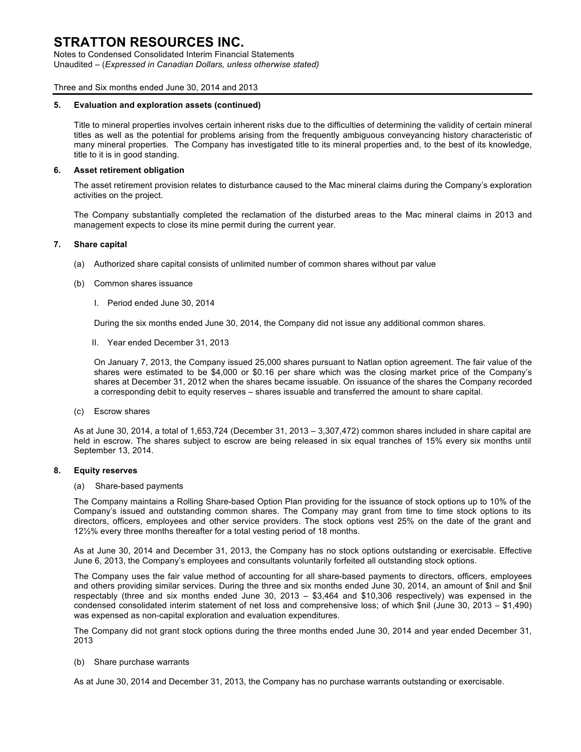Notes to Condensed Consolidated Interim Financial Statements Unaudited – (*Expressed in Canadian Dollars, unless otherwise stated)*

Three and Six months ended June 30, 2014 and 2013

#### **5. Evaluation and exploration assets (continued)**

Title to mineral properties involves certain inherent risks due to the difficulties of determining the validity of certain mineral titles as well as the potential for problems arising from the frequently ambiguous conveyancing history characteristic of many mineral properties. The Company has investigated title to its mineral properties and, to the best of its knowledge, title to it is in good standing.

### **6. Asset retirement obligation**

The asset retirement provision relates to disturbance caused to the Mac mineral claims during the Company's exploration activities on the project.

The Company substantially completed the reclamation of the disturbed areas to the Mac mineral claims in 2013 and management expects to close its mine permit during the current year.

### **7. Share capital**

- (a) Authorized share capital consists of unlimited number of common shares without par value
- (b) Common shares issuance
	- I. Period ended June 30, 2014

During the six months ended June 30, 2014, the Company did not issue any additional common shares.

II. Year ended December 31, 2013

On January 7, 2013, the Company issued 25,000 shares pursuant to Natlan option agreement. The fair value of the shares were estimated to be \$4,000 or \$0.16 per share which was the closing market price of the Company's shares at December 31, 2012 when the shares became issuable. On issuance of the shares the Company recorded a corresponding debit to equity reserves – shares issuable and transferred the amount to share capital.

(c) Escrow shares

As at June 30, 2014, a total of 1,653,724 (December 31, 2013 – 3,307,472) common shares included in share capital are held in escrow. The shares subject to escrow are being released in six equal tranches of 15% every six months until September 13, 2014.

### **8. Equity reserves**

(a) Share-based payments

The Company maintains a Rolling Share-based Option Plan providing for the issuance of stock options up to 10% of the Company's issued and outstanding common shares. The Company may grant from time to time stock options to its directors, officers, employees and other service providers. The stock options vest 25% on the date of the grant and 12½% every three months thereafter for a total vesting period of 18 months.

As at June 30, 2014 and December 31, 2013, the Company has no stock options outstanding or exercisable. Effective June 6, 2013, the Company's employees and consultants voluntarily forfeited all outstanding stock options.

The Company uses the fair value method of accounting for all share-based payments to directors, officers, employees and others providing similar services. During the three and six months ended June 30, 2014, an amount of \$nil and \$nil respectably (three and six months ended June 30, 2013 – \$3,464 and \$10,306 respectively) was expensed in the condensed consolidated interim statement of net loss and comprehensive loss; of which \$nil (June 30, 2013 – \$1,490) was expensed as non-capital exploration and evaluation expenditures.

The Company did not grant stock options during the three months ended June 30, 2014 and year ended December 31, 2013

(b) Share purchase warrants

As at June 30, 2014 and December 31, 2013, the Company has no purchase warrants outstanding or exercisable.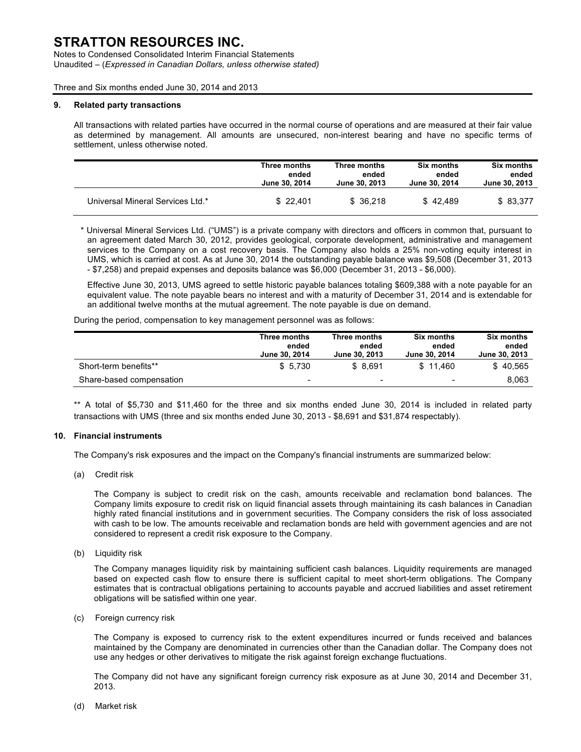Notes to Condensed Consolidated Interim Financial Statements Unaudited – (*Expressed in Canadian Dollars, unless otherwise stated)*

Three and Six months ended June 30, 2014 and 2013

#### **9. Related party transactions**

All transactions with related parties have occurred in the normal course of operations and are measured at their fair value as determined by management. All amounts are unsecured, non-interest bearing and have no specific terms of settlement, unless otherwise noted.

|                                  | Three months  | Three months  | <b>Six months</b>    | <b>Six months</b> |
|----------------------------------|---------------|---------------|----------------------|-------------------|
|                                  | ended         | ended         | ended                | ended             |
|                                  | June 30, 2014 | June 30, 2013 | <b>June 30, 2014</b> | June 30, 2013     |
| Universal Mineral Services Ltd.* | \$22.401      | \$36.218      | \$42.489             | \$83,377          |

\* Universal Mineral Services Ltd. ("UMS") is a private company with directors and officers in common that, pursuant to an agreement dated March 30, 2012, provides geological, corporate development, administrative and management services to the Company on a cost recovery basis. The Company also holds a 25% non-voting equity interest in UMS, which is carried at cost. As at June 30, 2014 the outstanding payable balance was \$9,508 (December 31, 2013 - \$7,258) and prepaid expenses and deposits balance was \$6,000 (December 31, 2013 - \$6,000).

Effective June 30, 2013, UMS agreed to settle historic payable balances totaling \$609,388 with a note payable for an equivalent value. The note payable bears no interest and with a maturity of December 31, 2014 and is extendable for an additional twelve months at the mutual agreement. The note payable is due on demand.

During the period, compensation to key management personnel was as follows:

|                          | Three months<br>ended<br>June 30, 2014 | Three months<br>ended<br>June 30, 2013 | <b>Six months</b><br>ended<br>June 30, 2014 | <b>Six months</b><br>ended<br>June 30, 2013 |
|--------------------------|----------------------------------------|----------------------------------------|---------------------------------------------|---------------------------------------------|
| Short-term benefits**    | \$5.730                                | \$ 8.691                               | \$11.460                                    | \$40.565                                    |
| Share-based compensation | $\overline{\phantom{0}}$               | $\overline{\phantom{0}}$               | $\sim$                                      | 8.063                                       |

\*\* A total of \$5,730 and \$11,460 for the three and six months ended June 30, 2014 is included in related party transactions with UMS (three and six months ended June 30, 2013 - \$8,691 and \$31,874 respectably).

### **10. Financial instruments**

The Company's risk exposures and the impact on the Company's financial instruments are summarized below:

(a) Credit risk

The Company is subject to credit risk on the cash, amounts receivable and reclamation bond balances. The Company limits exposure to credit risk on liquid financial assets through maintaining its cash balances in Canadian highly rated financial institutions and in government securities. The Company considers the risk of loss associated with cash to be low. The amounts receivable and reclamation bonds are held with government agencies and are not considered to represent a credit risk exposure to the Company.

(b) Liquidity risk

The Company manages liquidity risk by maintaining sufficient cash balances. Liquidity requirements are managed based on expected cash flow to ensure there is sufficient capital to meet short-term obligations. The Company estimates that is contractual obligations pertaining to accounts payable and accrued liabilities and asset retirement obligations will be satisfied within one year.

(c) Foreign currency risk

The Company is exposed to currency risk to the extent expenditures incurred or funds received and balances maintained by the Company are denominated in currencies other than the Canadian dollar. The Company does not use any hedges or other derivatives to mitigate the risk against foreign exchange fluctuations.

The Company did not have any significant foreign currency risk exposure as at June 30, 2014 and December 31, 2013.

(d) Market risk